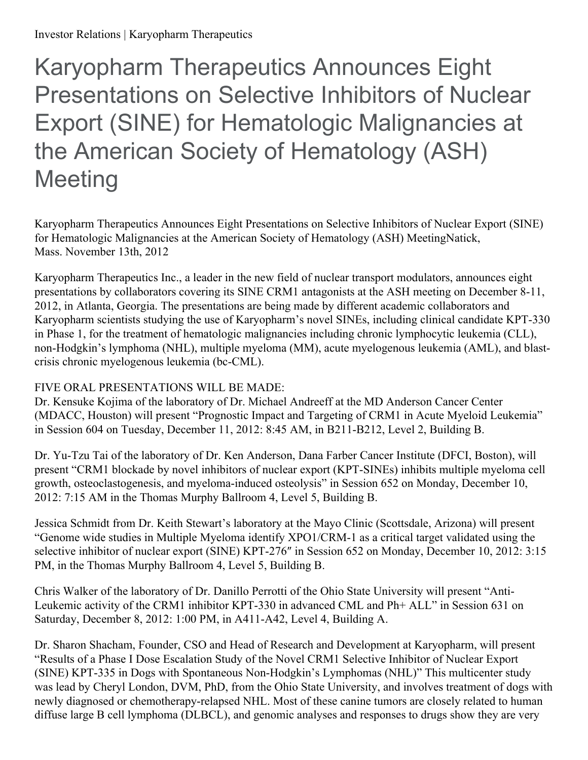# Karyopharm Therapeutics Announces Eight Presentations on Selective Inhibitors of Nuclear Export (SINE) for Hematologic Malignancies at the American Society of Hematology (ASH) **Meeting**

Karyopharm Therapeutics Announces Eight Presentations on Selective Inhibitors of Nuclear Export (SINE) for Hematologic Malignancies at the American Society of Hematology (ASH) MeetingNatick, Mass. November 13th, 2012

Karyopharm Therapeutics Inc., a leader in the new field of nuclear transport modulators, announces eight presentations by collaborators covering its SINE CRM1 antagonists at the ASH meeting on December 8-11, 2012, in Atlanta, Georgia. The presentations are being made by different academic collaborators and Karyopharm scientists studying the use of Karyopharm's novel SINEs, including clinical candidate KPT-330 in Phase 1, for the treatment of hematologic malignancies including chronic lymphocytic leukemia (CLL), non-Hodgkin's lymphoma (NHL), multiple myeloma (MM), acute myelogenous leukemia (AML), and blastcrisis chronic myelogenous leukemia (bc-CML).

## FIVE ORAL PRESENTATIONS WILL BE MADE:

Dr. Kensuke Kojima of the laboratory of Dr. Michael Andreeff at the MD Anderson Cancer Center (MDACC, Houston) will present "Prognostic Impact and Targeting of CRM1 in Acute Myeloid Leukemia" in Session 604 on Tuesday, December 11, 2012: 8:45 AM, in B211-B212, Level 2, Building B.

Dr. Yu-Tzu Tai of the laboratory of Dr. Ken Anderson, Dana Farber Cancer Institute (DFCI, Boston), will present "CRM1 blockade by novel inhibitors of nuclear export (KPT-SINEs) inhibits multiple myeloma cell growth, osteoclastogenesis, and myeloma-induced osteolysis" in Session 652 on Monday, December 10, 2012: 7:15 AM in the Thomas Murphy Ballroom 4, Level 5, Building B.

Jessica Schmidt from Dr. Keith Stewart's laboratory at the Mayo Clinic (Scottsdale, Arizona) will present "Genome wide studies in Multiple Myeloma identify XPO1/CRM-1 as a critical target validated using the selective inhibitor of nuclear export (SINE) KPT-276″ in Session 652 on Monday, December 10, 2012: 3:15 PM, in the Thomas Murphy Ballroom 4, Level 5, Building B.

Chris Walker of the laboratory of Dr. Danillo Perrotti of the Ohio State University will present "Anti-Leukemic activity of the CRM1 inhibitor KPT-330 in advanced CML and Ph+ ALL" in Session 631 on Saturday, December 8, 2012: 1:00 PM, in A411-A42, Level 4, Building A.

Dr. Sharon Shacham, Founder, CSO and Head of Research and Development at Karyopharm, will present "Results of a Phase I Dose Escalation Study of the Novel CRM1 Selective Inhibitor of Nuclear Export (SINE) KPT-335 in Dogs with Spontaneous Non-Hodgkin's Lymphomas (NHL)" This multicenter study was lead by Cheryl London, DVM, PhD, from the Ohio State University, and involves treatment of dogs with newly diagnosed or chemotherapy-relapsed NHL. Most of these canine tumors are closely related to human diffuse large B cell lymphoma (DLBCL), and genomic analyses and responses to drugs show they are very